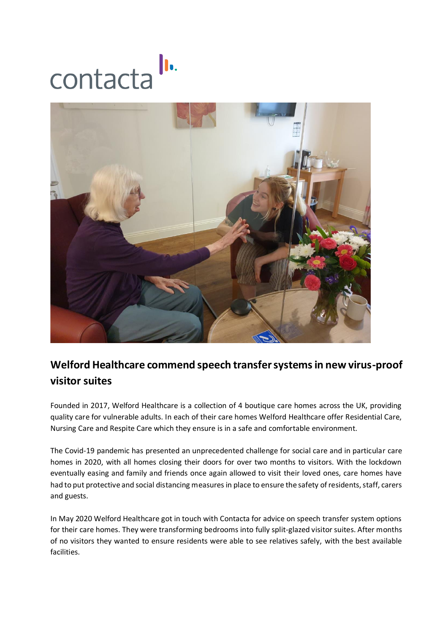



## **Welford Healthcare commend speech transfer systems in new virus-proof visitor suites**

Founded in 2017, Welford Healthcare is a collection of 4 boutique care homes across the UK, providing quality care for vulnerable adults. In each of their care homes Welford Healthcare offer Residential Care, Nursing Care and Respite Care which they ensure is in a safe and comfortable environment.

The Covid-19 pandemic has presented an unprecedented challenge for social care and in particular care homes in 2020, with all homes closing their doors for over two months to visitors. With the lockdown eventually easing and family and friends once again allowed to visit their loved ones, care homes have had to put protective and social distancing measures in place to ensure the safety of residents, staff, carers and guests.

In May 2020 Welford Healthcare got in touch with Contacta for advice on speech transfer system options for their care homes. They were transforming bedrooms into fully split-glazed visitor suites. After months of no visitors they wanted to ensure residents were able to see relatives safely, with the best available facilities.